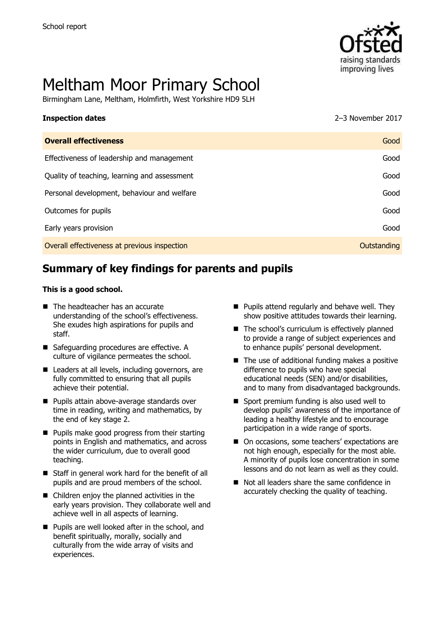

# Meltham Moor Primary School

Birmingham Lane, Meltham, Holmfirth, West Yorkshire HD9 5LH

#### **Inspection dates** 2017 **CONSERVING ALGEBRA 2017 2–3 November 2017**

| <b>Overall effectiveness</b>                 | Good        |
|----------------------------------------------|-------------|
| Effectiveness of leadership and management   | Good        |
| Quality of teaching, learning and assessment | Good        |
| Personal development, behaviour and welfare  | Good        |
| Outcomes for pupils                          | Good        |
| Early years provision                        | Good        |
| Overall effectiveness at previous inspection | Outstanding |

# **Summary of key findings for parents and pupils**

#### **This is a good school.**

- The headteacher has an accurate understanding of the school's effectiveness. She exudes high aspirations for pupils and staff.
- Safeguarding procedures are effective. A culture of vigilance permeates the school.
- Leaders at all levels, including governors, are fully committed to ensuring that all pupils achieve their potential.
- **Pupils attain above-average standards over** time in reading, writing and mathematics, by the end of key stage 2.
- Pupils make good progress from their starting points in English and mathematics, and across the wider curriculum, due to overall good teaching.
- Staff in general work hard for the benefit of all pupils and are proud members of the school.
- Children enjoy the planned activities in the early years provision. They collaborate well and achieve well in all aspects of learning.
- **Pupils are well looked after in the school, and** benefit spiritually, morally, socially and culturally from the wide array of visits and experiences.
- $\blacksquare$  Pupils attend regularly and behave well. They show positive attitudes towards their learning.
- $\blacksquare$  The school's curriculum is effectively planned to provide a range of subject experiences and to enhance pupils' personal development.
- $\blacksquare$  The use of additional funding makes a positive difference to pupils who have special educational needs (SEN) and/or disabilities, and to many from disadvantaged backgrounds.
- Sport premium funding is also used well to develop pupils' awareness of the importance of leading a healthy lifestyle and to encourage participation in a wide range of sports.
- On occasions, some teachers' expectations are not high enough, especially for the most able. A minority of pupils lose concentration in some lessons and do not learn as well as they could.
- Not all leaders share the same confidence in accurately checking the quality of teaching.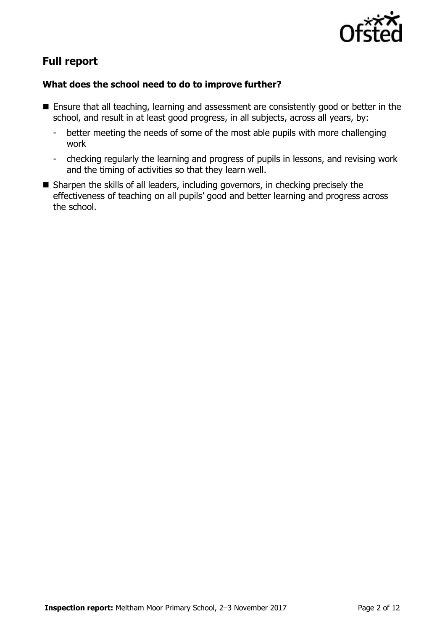

# **Full report**

### **What does the school need to do to improve further?**

- **Ensure that all teaching, learning and assessment are consistently good or better in the** school, and result in at least good progress, in all subjects, across all years, by:
	- better meeting the needs of some of the most able pupils with more challenging work
	- checking regularly the learning and progress of pupils in lessons, and revising work and the timing of activities so that they learn well.
- Sharpen the skills of all leaders, including governors, in checking precisely the effectiveness of teaching on all pupils' good and better learning and progress across the school.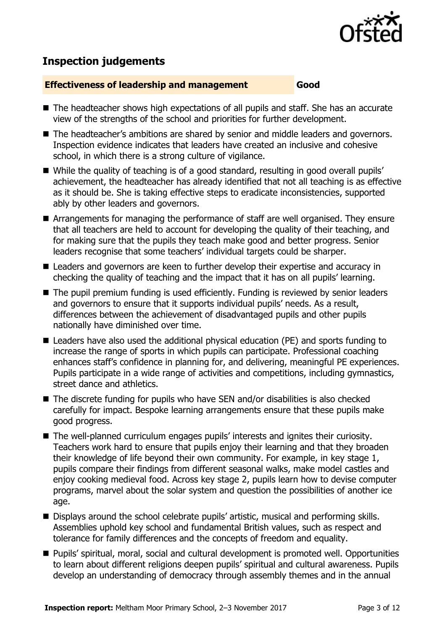

# **Inspection judgements**

#### **Effectiveness of leadership and management Good**

- The headteacher shows high expectations of all pupils and staff. She has an accurate view of the strengths of the school and priorities for further development.
- The headteacher's ambitions are shared by senior and middle leaders and governors. Inspection evidence indicates that leaders have created an inclusive and cohesive school, in which there is a strong culture of vigilance.
- While the quality of teaching is of a good standard, resulting in good overall pupils' achievement, the headteacher has already identified that not all teaching is as effective as it should be. She is taking effective steps to eradicate inconsistencies, supported ably by other leaders and governors.
- Arrangements for managing the performance of staff are well organised. They ensure that all teachers are held to account for developing the quality of their teaching, and for making sure that the pupils they teach make good and better progress. Senior leaders recognise that some teachers' individual targets could be sharper.
- Leaders and governors are keen to further develop their expertise and accuracy in checking the quality of teaching and the impact that it has on all pupils' learning.
- The pupil premium funding is used efficiently. Funding is reviewed by senior leaders and governors to ensure that it supports individual pupils' needs. As a result, differences between the achievement of disadvantaged pupils and other pupils nationally have diminished over time.
- Leaders have also used the additional physical education (PE) and sports funding to increase the range of sports in which pupils can participate. Professional coaching enhances staff's confidence in planning for, and delivering, meaningful PE experiences. Pupils participate in a wide range of activities and competitions, including gymnastics, street dance and athletics.
- The discrete funding for pupils who have SEN and/or disabilities is also checked carefully for impact. Bespoke learning arrangements ensure that these pupils make good progress.
- The well-planned curriculum engages pupils' interests and ignites their curiosity. Teachers work hard to ensure that pupils enjoy their learning and that they broaden their knowledge of life beyond their own community. For example, in key stage 1, pupils compare their findings from different seasonal walks, make model castles and enjoy cooking medieval food. Across key stage 2, pupils learn how to devise computer programs, marvel about the solar system and question the possibilities of another ice age.
- Displays around the school celebrate pupils' artistic, musical and performing skills. Assemblies uphold key school and fundamental British values, such as respect and tolerance for family differences and the concepts of freedom and equality.
- Pupils' spiritual, moral, social and cultural development is promoted well. Opportunities to learn about different religions deepen pupils' spiritual and cultural awareness. Pupils develop an understanding of democracy through assembly themes and in the annual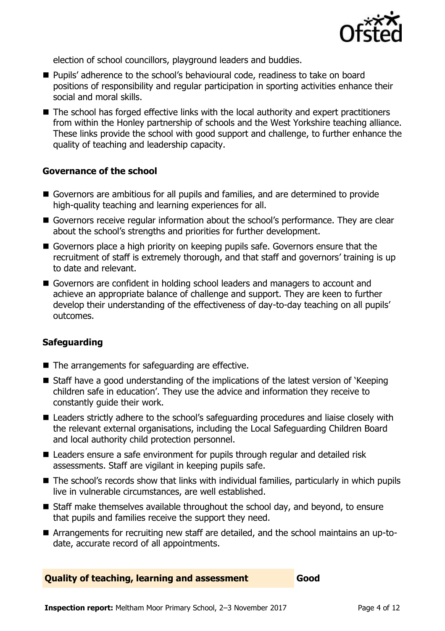

election of school councillors, playground leaders and buddies.

- Pupils' adherence to the school's behavioural code, readiness to take on board positions of responsibility and regular participation in sporting activities enhance their social and moral skills.
- The school has forged effective links with the local authority and expert practitioners from within the Honley partnership of schools and the West Yorkshire teaching alliance. These links provide the school with good support and challenge, to further enhance the quality of teaching and leadership capacity.

#### **Governance of the school**

- Governors are ambitious for all pupils and families, and are determined to provide high-quality teaching and learning experiences for all.
- Governors receive regular information about the school's performance. They are clear about the school's strengths and priorities for further development.
- Governors place a high priority on keeping pupils safe. Governors ensure that the recruitment of staff is extremely thorough, and that staff and governors' training is up to date and relevant.
- Governors are confident in holding school leaders and managers to account and achieve an appropriate balance of challenge and support. They are keen to further develop their understanding of the effectiveness of day-to-day teaching on all pupils' outcomes.

#### **Safeguarding**

- $\blacksquare$  The arrangements for safeguarding are effective.
- Staff have a good understanding of the implications of the latest version of 'Keeping children safe in education'. They use the advice and information they receive to constantly guide their work.
- Leaders strictly adhere to the school's safeguarding procedures and liaise closely with the relevant external organisations, including the Local Safeguarding Children Board and local authority child protection personnel.
- Leaders ensure a safe environment for pupils through regular and detailed risk assessments. Staff are vigilant in keeping pupils safe.
- The school's records show that links with individual families, particularly in which pupils live in vulnerable circumstances, are well established.
- Staff make themselves available throughout the school day, and beyond, to ensure that pupils and families receive the support they need.
- Arrangements for recruiting new staff are detailed, and the school maintains an up-todate, accurate record of all appointments.

**Quality of teaching, learning and assessment Good**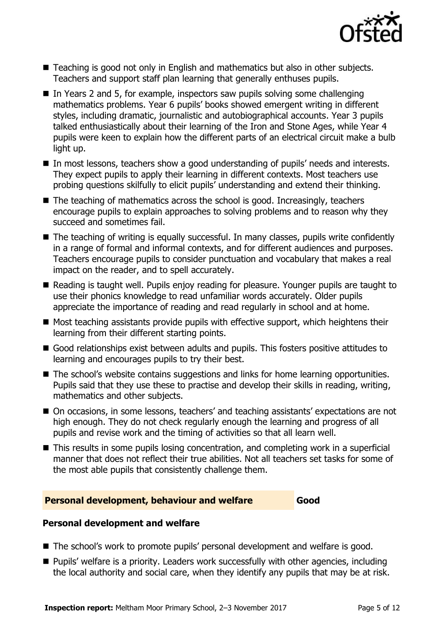

- Teaching is good not only in English and mathematics but also in other subjects. Teachers and support staff plan learning that generally enthuses pupils.
- $\blacksquare$  In Years 2 and 5, for example, inspectors saw pupils solving some challenging mathematics problems. Year 6 pupils' books showed emergent writing in different styles, including dramatic, journalistic and autobiographical accounts. Year 3 pupils talked enthusiastically about their learning of the Iron and Stone Ages, while Year 4 pupils were keen to explain how the different parts of an electrical circuit make a bulb light up.
- In most lessons, teachers show a good understanding of pupils' needs and interests. They expect pupils to apply their learning in different contexts. Most teachers use probing questions skilfully to elicit pupils' understanding and extend their thinking.
- The teaching of mathematics across the school is good. Increasingly, teachers encourage pupils to explain approaches to solving problems and to reason why they succeed and sometimes fail.
- The teaching of writing is equally successful. In many classes, pupils write confidently in a range of formal and informal contexts, and for different audiences and purposes. Teachers encourage pupils to consider punctuation and vocabulary that makes a real impact on the reader, and to spell accurately.
- Reading is taught well. Pupils enjoy reading for pleasure. Younger pupils are taught to use their phonics knowledge to read unfamiliar words accurately. Older pupils appreciate the importance of reading and read regularly in school and at home.
- $\blacksquare$  Most teaching assistants provide pupils with effective support, which heightens their learning from their different starting points.
- Good relationships exist between adults and pupils. This fosters positive attitudes to learning and encourages pupils to try their best.
- The school's website contains suggestions and links for home learning opportunities. Pupils said that they use these to practise and develop their skills in reading, writing, mathematics and other subjects.
- On occasions, in some lessons, teachers' and teaching assistants' expectations are not high enough. They do not check regularly enough the learning and progress of all pupils and revise work and the timing of activities so that all learn well.
- This results in some pupils losing concentration, and completing work in a superficial manner that does not reflect their true abilities. Not all teachers set tasks for some of the most able pupils that consistently challenge them.

#### **Personal development, behaviour and welfare Good**

#### **Personal development and welfare**

- The school's work to promote pupils' personal development and welfare is good.
- Pupils' welfare is a priority. Leaders work successfully with other agencies, including the local authority and social care, when they identify any pupils that may be at risk.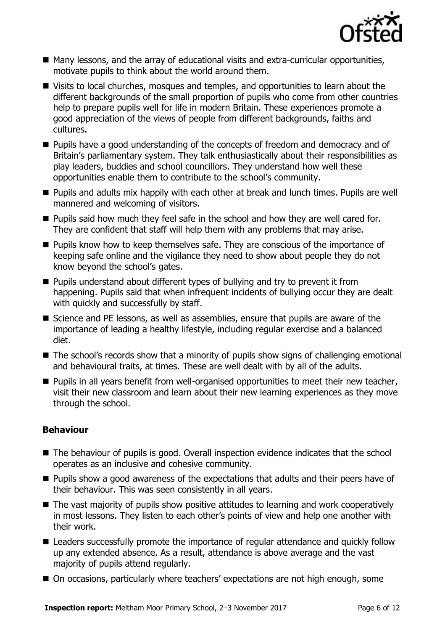

- Many lessons, and the array of educational visits and extra-curricular opportunities, motivate pupils to think about the world around them.
- Visits to local churches, mosques and temples, and opportunities to learn about the different backgrounds of the small proportion of pupils who come from other countries help to prepare pupils well for life in modern Britain. These experiences promote a good appreciation of the views of people from different backgrounds, faiths and cultures.
- **Pupils have a good understanding of the concepts of freedom and democracy and of** Britain's parliamentary system. They talk enthusiastically about their responsibilities as play leaders, buddies and school councillors. They understand how well these opportunities enable them to contribute to the school's community.
- Pupils and adults mix happily with each other at break and lunch times. Pupils are well mannered and welcoming of visitors.
- **Pupils said how much they feel safe in the school and how they are well cared for.** They are confident that staff will help them with any problems that may arise.
- **Pupils know how to keep themselves safe. They are conscious of the importance of** keeping safe online and the vigilance they need to show about people they do not know beyond the school's gates.
- **Pupils understand about different types of bullying and try to prevent it from** happening. Pupils said that when infrequent incidents of bullying occur they are dealt with quickly and successfully by staff.
- Science and PE lessons, as well as assemblies, ensure that pupils are aware of the importance of leading a healthy lifestyle, including regular exercise and a balanced diet.
- The school's records show that a minority of pupils show signs of challenging emotional and behavioural traits, at times. These are well dealt with by all of the adults.
- **Pupils in all years benefit from well-organised opportunities to meet their new teacher,** visit their new classroom and learn about their new learning experiences as they move through the school.

#### **Behaviour**

- The behaviour of pupils is good. Overall inspection evidence indicates that the school operates as an inclusive and cohesive community.
- **Pupils show a good awareness of the expectations that adults and their peers have of** their behaviour. This was seen consistently in all years.
- The vast majority of pupils show positive attitudes to learning and work cooperatively in most lessons. They listen to each other's points of view and help one another with their work.
- Leaders successfully promote the importance of regular attendance and quickly follow up any extended absence. As a result, attendance is above average and the vast majority of pupils attend regularly.
- On occasions, particularly where teachers' expectations are not high enough, some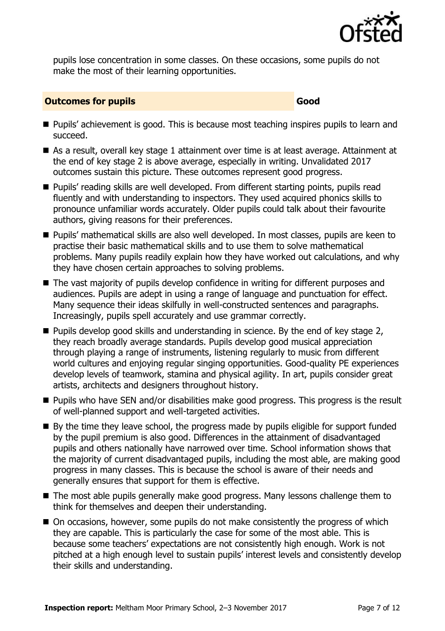

pupils lose concentration in some classes. On these occasions, some pupils do not make the most of their learning opportunities.

#### **Outcomes for pupils Good**

- **Pupils'** achievement is good. This is because most teaching inspires pupils to learn and succeed.
- As a result, overall key stage 1 attainment over time is at least average. Attainment at the end of key stage 2 is above average, especially in writing. Unvalidated 2017 outcomes sustain this picture. These outcomes represent good progress.
- Pupils' reading skills are well developed. From different starting points, pupils read fluently and with understanding to inspectors. They used acquired phonics skills to pronounce unfamiliar words accurately. Older pupils could talk about their favourite authors, giving reasons for their preferences.
- **Pupils' mathematical skills are also well developed. In most classes, pupils are keen to** practise their basic mathematical skills and to use them to solve mathematical problems. Many pupils readily explain how they have worked out calculations, and why they have chosen certain approaches to solving problems.
- The vast majority of pupils develop confidence in writing for different purposes and audiences. Pupils are adept in using a range of language and punctuation for effect. Many sequence their ideas skilfully in well-constructed sentences and paragraphs. Increasingly, pupils spell accurately and use grammar correctly.
- $\blacksquare$  Pupils develop good skills and understanding in science. By the end of key stage 2, they reach broadly average standards. Pupils develop good musical appreciation through playing a range of instruments, listening regularly to music from different world cultures and enjoving regular singing opportunities. Good-quality PE experiences develop levels of teamwork, stamina and physical agility. In art, pupils consider great artists, architects and designers throughout history.
- **Pupils who have SEN and/or disabilities make good progress. This progress is the result** of well-planned support and well-targeted activities.
- By the time they leave school, the progress made by pupils eligible for support funded by the pupil premium is also good. Differences in the attainment of disadvantaged pupils and others nationally have narrowed over time. School information shows that the majority of current disadvantaged pupils, including the most able, are making good progress in many classes. This is because the school is aware of their needs and generally ensures that support for them is effective.
- The most able pupils generally make good progress. Many lessons challenge them to think for themselves and deepen their understanding.
- On occasions, however, some pupils do not make consistently the progress of which they are capable. This is particularly the case for some of the most able. This is because some teachers' expectations are not consistently high enough. Work is not pitched at a high enough level to sustain pupils' interest levels and consistently develop their skills and understanding.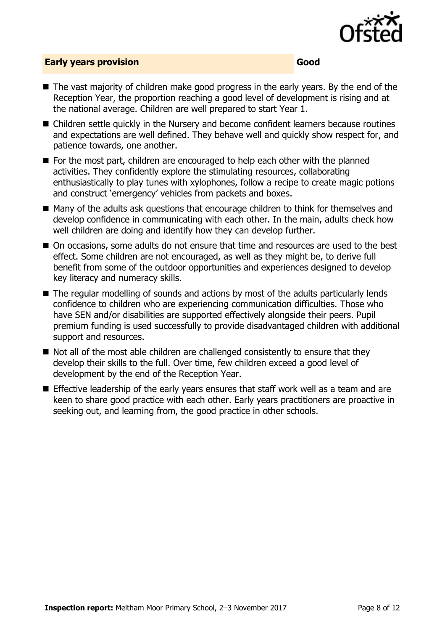

#### **Early years provision Good Good**

- The vast majority of children make good progress in the early years. By the end of the Reception Year, the proportion reaching a good level of development is rising and at the national average. Children are well prepared to start Year 1.
- Children settle quickly in the Nursery and become confident learners because routines and expectations are well defined. They behave well and quickly show respect for, and patience towards, one another.
- For the most part, children are encouraged to help each other with the planned activities. They confidently explore the stimulating resources, collaborating enthusiastically to play tunes with xylophones, follow a recipe to create magic potions and construct 'emergency' vehicles from packets and boxes.
- Many of the adults ask questions that encourage children to think for themselves and develop confidence in communicating with each other. In the main, adults check how well children are doing and identify how they can develop further.
- On occasions, some adults do not ensure that time and resources are used to the best effect. Some children are not encouraged, as well as they might be, to derive full benefit from some of the outdoor opportunities and experiences designed to develop key literacy and numeracy skills.
- The regular modelling of sounds and actions by most of the adults particularly lends confidence to children who are experiencing communication difficulties. Those who have SEN and/or disabilities are supported effectively alongside their peers. Pupil premium funding is used successfully to provide disadvantaged children with additional support and resources.
- Not all of the most able children are challenged consistently to ensure that they develop their skills to the full. Over time, few children exceed a good level of development by the end of the Reception Year.
- **E** Effective leadership of the early years ensures that staff work well as a team and are keen to share good practice with each other. Early years practitioners are proactive in seeking out, and learning from, the good practice in other schools.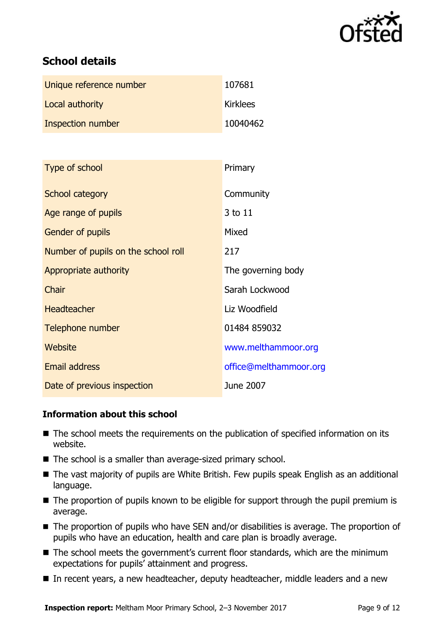

# **School details**

| Unique reference number | 107681          |
|-------------------------|-----------------|
| Local authority         | <b>Kirklees</b> |
| Inspection number       | 10040462        |

| Type of school                      | Primary                |
|-------------------------------------|------------------------|
| School category                     | Community              |
| Age range of pupils                 | 3 to 11                |
| <b>Gender of pupils</b>             | Mixed                  |
| Number of pupils on the school roll | 217                    |
| Appropriate authority               | The governing body     |
| Chair                               | Sarah Lockwood         |
| <b>Headteacher</b>                  | Liz Woodfield          |
| Telephone number                    | 01484 859032           |
| Website                             | www.melthammoor.org    |
| <b>Email address</b>                | office@melthammoor.org |
| Date of previous inspection         | June 2007              |

#### **Information about this school**

- The school meets the requirements on the publication of specified information on its website.
- The school is a smaller than average-sized primary school.
- The vast majority of pupils are White British. Few pupils speak English as an additional language.
- The proportion of pupils known to be eligible for support through the pupil premium is average.
- The proportion of pupils who have SEN and/or disabilities is average. The proportion of pupils who have an education, health and care plan is broadly average.
- The school meets the government's current floor standards, which are the minimum expectations for pupils' attainment and progress.
- In recent years, a new headteacher, deputy headteacher, middle leaders and a new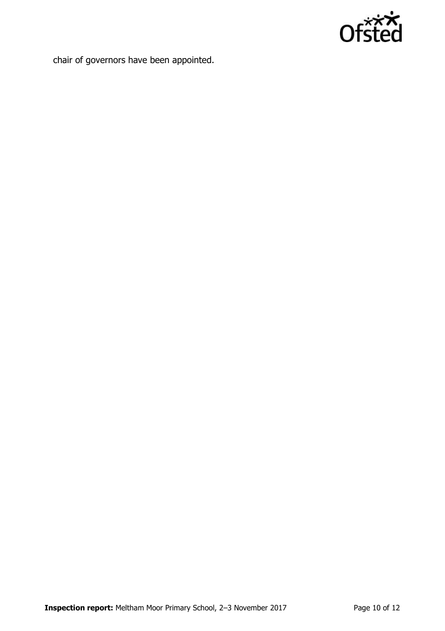

chair of governors have been appointed.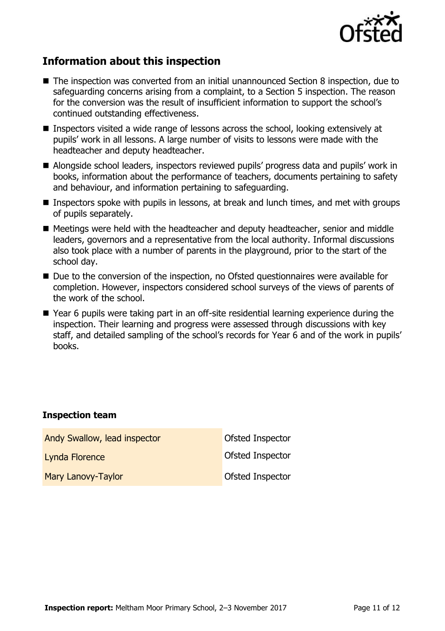

# **Information about this inspection**

- The inspection was converted from an initial unannounced Section 8 inspection, due to safeguarding concerns arising from a complaint, to a Section 5 inspection. The reason for the conversion was the result of insufficient information to support the school's continued outstanding effectiveness.
- Inspectors visited a wide range of lessons across the school, looking extensively at pupils' work in all lessons. A large number of visits to lessons were made with the headteacher and deputy headteacher.
- Alongside school leaders, inspectors reviewed pupils' progress data and pupils' work in books, information about the performance of teachers, documents pertaining to safety and behaviour, and information pertaining to safeguarding.
- Inspectors spoke with pupils in lessons, at break and lunch times, and met with groups of pupils separately.
- Meetings were held with the headteacher and deputy headteacher, senior and middle leaders, governors and a representative from the local authority. Informal discussions also took place with a number of parents in the playground, prior to the start of the school day.
- Due to the conversion of the inspection, no Ofsted questionnaires were available for completion. However, inspectors considered school surveys of the views of parents of the work of the school.
- Year 6 pupils were taking part in an off-site residential learning experience during the inspection. Their learning and progress were assessed through discussions with key staff, and detailed sampling of the school's records for Year 6 and of the work in pupils' books.

#### **Inspection team**

| Andy Swallow, lead inspector | Ofsted Inspector        |
|------------------------------|-------------------------|
| Lynda Florence               | <b>Ofsted Inspector</b> |
| Mary Lanovy-Taylor           | Ofsted Inspector        |